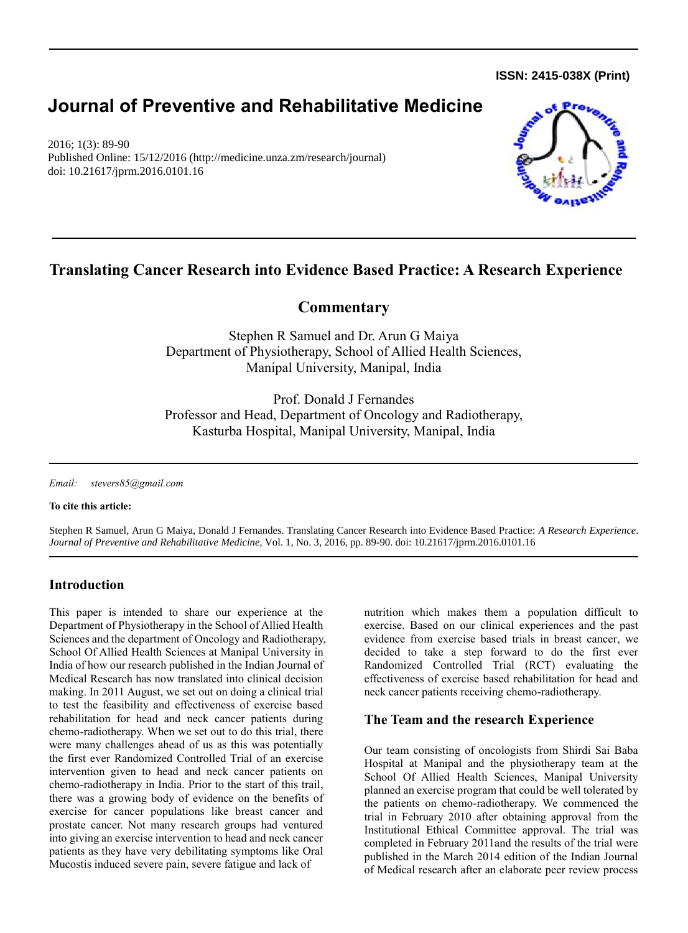**ISSN: 2415-038X (Print)** 

# **Journal of Preventive and Rehabilitative Medicine**

2016; 1(3): 89-90 Published Online: 15/12/2016 (http://medicine.unza.zm/research/journal) doi: 10.21617/jprm.2016.0101.16



# **Translating Cancer Research into Evidence Based Practice: A Research Experience**

# **Commentary**

Stephen R Samuel and Dr. Arun G Maiya Department of Physiotherapy, School of Allied Health Sciences, Manipal University, Manipal, India

Prof. Donald J Fernandes Professor and Head, Department of Oncology and Radiotherapy, Kasturba Hospital, Manipal University, Manipal, India

*Email: [stevers85@gmail.com](mailto:stevers85@gmail.com)*

**To cite this article:**

Stephen R Samuel, Arun G Maiya, Donald J Fernandes. Translating Cancer Research into Evidence Based Practice: *A Research Experience*. *Journal of Preventive and Rehabilitative Medicine,* Vol. 1, No. 3, 2016, pp. 89-90. doi: 10.21617/jprm.2016.0101.16

# **Introduction**

This paper is intended to share our experience at the Department of Physiotherapy in the School of Allied Health Sciences and the department of Oncology and Radiotherapy, School Of Allied Health Sciences at Manipal University in India of how our research published in the Indian Journal of Medical Research has now translated into clinical decision making. In 2011 August, we set out on doing a clinical trial to test the feasibility and effectiveness of exercise based rehabilitation for head and neck cancer patients during chemo-radiotherapy. When we set out to do this trial, there were many challenges ahead of us as this was potentially the first ever Randomized Controlled Trial of an exercise intervention given to head and neck cancer patients on chemo-radiotherapy in India. Prior to the start of this trail, there was a growing body of evidence on the benefits of exercise for cancer populations like breast cancer and prostate cancer. Not many research groups had ventured into giving an exercise intervention to head and neck cancer patients as they have very debilitating symptoms like Oral Mucostis induced severe pain, severe fatigue and lack of

nutrition which makes them a population difficult to exercise. Based on our clinical experiences and the past evidence from exercise based trials in breast cancer, we decided to take a step forward to do the first ever Randomized Controlled Trial (RCT) evaluating the effectiveness of exercise based rehabilitation for head and neck cancer patients receiving chemo-radiotherapy.

# **The Team and the research Experience**

Our team consisting of oncologists from Shirdi Sai Baba Hospital at Manipal and the physiotherapy team at the School Of Allied Health Sciences, Manipal University planned an exercise program that could be well tolerated by the patients on chemo-radiotherapy. We commenced the trial in February 2010 after obtaining approval from the Institutional Ethical Committee approval. The trial was completed in February 2011and the results of the trial were published in the March 2014 edition of the Indian Journal of Medical research after an elaborate peer review process